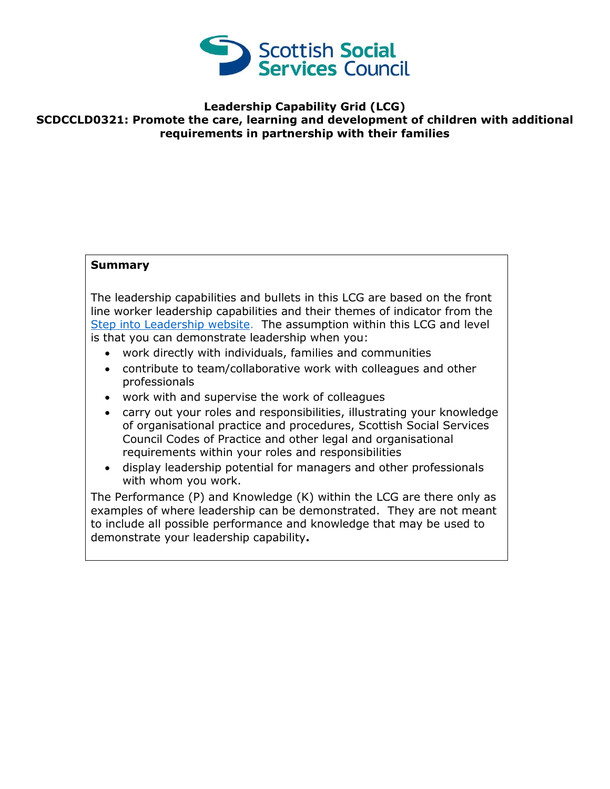

## **Leadership Capability Grid (LCG) SCDCCLD0321: Promote the care, learning and development of children with additional requirements in partnership with their families**

## **Summary**

The leadership capabilities and bullets in this LCG are based on the front line worker leadership capabilities and their themes of indicator from the [Step into Leadership website.](http://www.stepintoleadership.info/) The assumption within this LCG and level is that you can demonstrate leadership when you:

- work directly with individuals, families and communities
- contribute to team/collaborative work with colleagues and other professionals
- work with and supervise the work of colleagues
- carry out your roles and responsibilities, illustrating your knowledge of organisational practice and procedures, Scottish Social Services Council Codes of Practice and other legal and organisational requirements within your roles and responsibilities
- display leadership potential for managers and other professionals with whom you work.

The Performance (P) and Knowledge (K) within the LCG are there only as examples of where leadership can be demonstrated. They are not meant to include all possible performance and knowledge that may be used to demonstrate your leadership capability**.**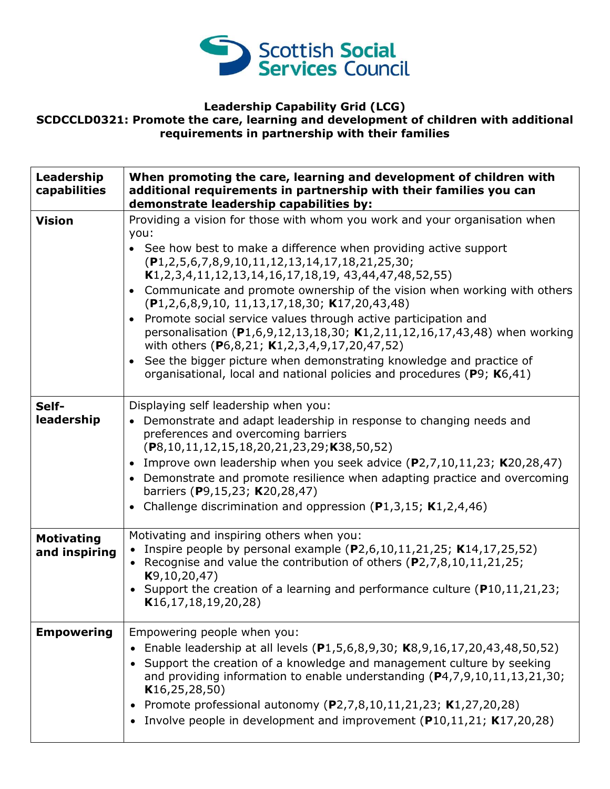

## **Leadership Capability Grid (LCG) SCDCCLD0321: Promote the care, learning and development of children with additional requirements in partnership with their families**

| Leadership<br>capabilities         | When promoting the care, learning and development of children with<br>additional requirements in partnership with their families you can<br>demonstrate leadership capabilities by:                                                                                                                                                                                                                                                                                                                                                                                                                                                                                                                                                                                                                     |
|------------------------------------|---------------------------------------------------------------------------------------------------------------------------------------------------------------------------------------------------------------------------------------------------------------------------------------------------------------------------------------------------------------------------------------------------------------------------------------------------------------------------------------------------------------------------------------------------------------------------------------------------------------------------------------------------------------------------------------------------------------------------------------------------------------------------------------------------------|
| <b>Vision</b>                      | Providing a vision for those with whom you work and your organisation when<br>you:<br>• See how best to make a difference when providing active support<br>$(P1, 2, 5, 6, 7, 8, 9, 10, 11, 12, 13, 14, 17, 18, 21, 25, 30;$<br>$K1, 2, 3, 4, 11, 12, 13, 14, 16, 17, 18, 19, 43, 44, 47, 48, 52, 55)$<br>• Communicate and promote ownership of the vision when working with others<br>$(P1, 2, 6, 8, 9, 10, 11, 13, 17, 18, 30; K17, 20, 43, 48)$<br>• Promote social service values through active participation and<br>personalisation (P1,6,9,12,13,18,30; K1,2,11,12,16,17,43,48) when working<br>with others (P6,8,21; K1,2,3,4,9,17,20,47,52)<br>• See the bigger picture when demonstrating knowledge and practice of<br>organisational, local and national policies and procedures (P9; K6,41) |
| Self-<br>leadership                | Displaying self leadership when you:<br>• Demonstrate and adapt leadership in response to changing needs and<br>preferences and overcoming barriers<br>$(P8, 10, 11, 12, 15, 18, 20, 21, 23, 29; K38, 50, 52)$<br>• Improve own leadership when you seek advice $(P2,7,10,11,23; K20,28,47)$<br>• Demonstrate and promote resilience when adapting practice and overcoming<br>barriers (P9,15,23; K20,28,47)<br>• Challenge discrimination and oppression ( $P1,3,15$ ; K1,2,4,46)                                                                                                                                                                                                                                                                                                                      |
| <b>Motivating</b><br>and inspiring | Motivating and inspiring others when you:<br>• Inspire people by personal example (P2,6,10,11,21,25; K14,17,25,52)<br>• Recognise and value the contribution of others $(P2,7,8,10,11,21,25;$<br>K9, 10, 20, 47)<br>• Support the creation of a learning and performance culture ( $P10,11,21,23$ ;<br>K16, 17, 18, 19, 20, 28                                                                                                                                                                                                                                                                                                                                                                                                                                                                          |
| <b>Empowering</b>                  | Empowering people when you:<br>Enable leadership at all levels (P1,5,6,8,9,30; K8,9,16,17,20,43,48,50,52)<br>• Support the creation of a knowledge and management culture by seeking<br>and providing information to enable understanding (P4,7,9,10,11,13,21,30;<br>K16, 25, 28, 50)<br>• Promote professional autonomy $(P2,7,8,10,11,21,23; K1,27,20,28)$<br>• Involve people in development and improvement (P10,11,21; K17,20,28)                                                                                                                                                                                                                                                                                                                                                                  |